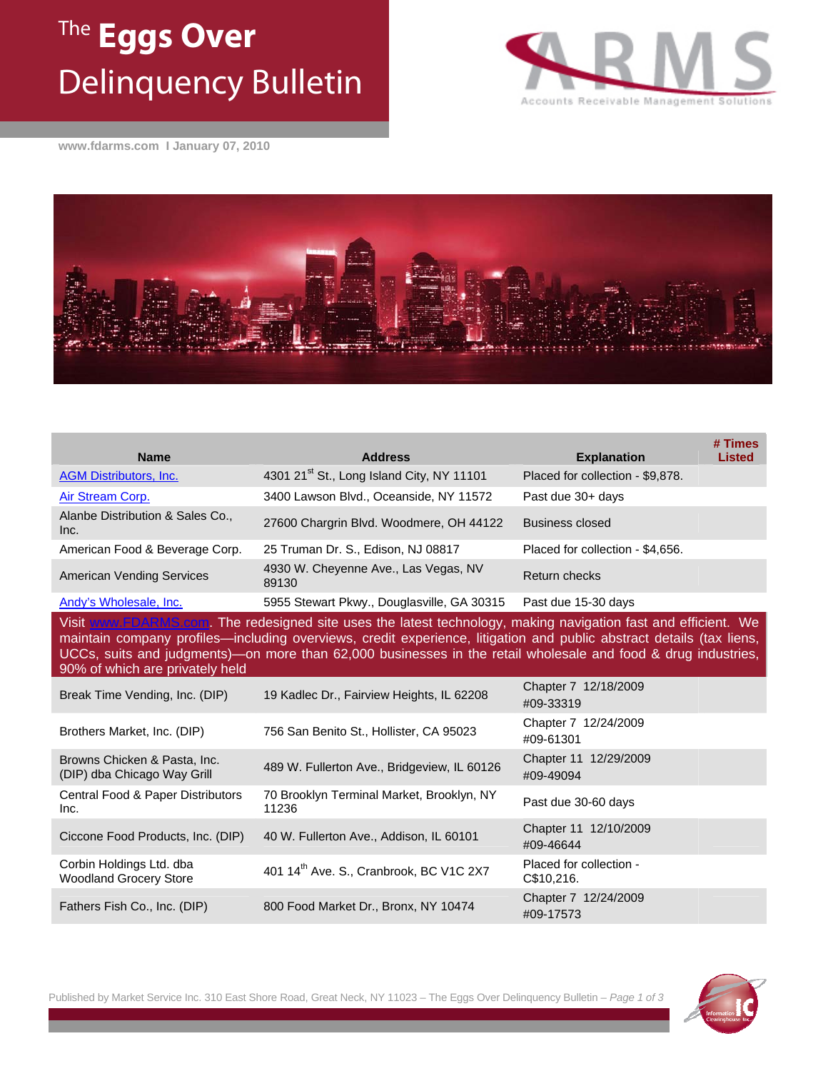## The **Eggs Over** Delinquency Bulletin



**[www.fdarms.com](http://www.fdarms.com/) I January 07, 2010** 



| <b>Name</b>                                                                                                                                                                                                                                                                                                                                                                                | <b>Address</b>                                        | <b>Explanation</b>                    | # Times<br><b>Listed</b> |  |  |
|--------------------------------------------------------------------------------------------------------------------------------------------------------------------------------------------------------------------------------------------------------------------------------------------------------------------------------------------------------------------------------------------|-------------------------------------------------------|---------------------------------------|--------------------------|--|--|
| <b>AGM Distributors, Inc.</b>                                                                                                                                                                                                                                                                                                                                                              | 4301 21 <sup>st</sup> St., Long Island City, NY 11101 | Placed for collection - \$9,878.      |                          |  |  |
| Air Stream Corp.                                                                                                                                                                                                                                                                                                                                                                           | 3400 Lawson Blvd., Oceanside, NY 11572                | Past due 30+ days                     |                          |  |  |
| Alanbe Distribution & Sales Co.,<br>Inc.                                                                                                                                                                                                                                                                                                                                                   | 27600 Chargrin Blvd. Woodmere, OH 44122               | <b>Business closed</b>                |                          |  |  |
| American Food & Beverage Corp.                                                                                                                                                                                                                                                                                                                                                             | 25 Truman Dr. S., Edison, NJ 08817                    | Placed for collection - \$4,656.      |                          |  |  |
| <b>American Vending Services</b>                                                                                                                                                                                                                                                                                                                                                           | 4930 W. Cheyenne Ave., Las Vegas, NV<br>89130         | <b>Return checks</b>                  |                          |  |  |
| Andy's Wholesale, Inc.                                                                                                                                                                                                                                                                                                                                                                     | 5955 Stewart Pkwy., Douglasville, GA 30315            | Past due 15-30 days                   |                          |  |  |
| Visit www.FDARMS.com. The redesigned site uses the latest technology, making navigation fast and efficient. We<br>maintain company profiles—including overviews, credit experience, litigation and public abstract details (tax liens,<br>UCCs, suits and judgments)—on more than 62,000 businesses in the retail wholesale and food & drug industries,<br>90% of which are privately held |                                                       |                                       |                          |  |  |
| Break Time Vending, Inc. (DIP)                                                                                                                                                                                                                                                                                                                                                             | 19 Kadlec Dr., Fairview Heights, IL 62208             | Chapter 7 12/18/2009<br>#09-33319     |                          |  |  |
| Brothers Market, Inc. (DIP)                                                                                                                                                                                                                                                                                                                                                                | 756 San Benito St., Hollister, CA 95023               | Chapter 7 12/24/2009<br>#09-61301     |                          |  |  |
| Browns Chicken & Pasta, Inc.<br>(DIP) dba Chicago Way Grill                                                                                                                                                                                                                                                                                                                                | 489 W. Fullerton Ave., Bridgeview, IL 60126           | Chapter 11 12/29/2009<br>#09-49094    |                          |  |  |
| Central Food & Paper Distributors<br>Inc.                                                                                                                                                                                                                                                                                                                                                  | 70 Brooklyn Terminal Market, Brooklyn, NY<br>11236    | Past due 30-60 days                   |                          |  |  |
| Ciccone Food Products, Inc. (DIP)                                                                                                                                                                                                                                                                                                                                                          | 40 W. Fullerton Ave., Addison, IL 60101               | Chapter 11 12/10/2009<br>#09-46644    |                          |  |  |
| Corbin Holdings Ltd. dba<br><b>Woodland Grocery Store</b>                                                                                                                                                                                                                                                                                                                                  | 401 14th Ave. S., Cranbrook, BC V1C 2X7               | Placed for collection -<br>C\$10,216. |                          |  |  |
| Fathers Fish Co., Inc. (DIP)                                                                                                                                                                                                                                                                                                                                                               | 800 Food Market Dr., Bronx, NY 10474                  | Chapter 7 12/24/2009<br>#09-17573     |                          |  |  |

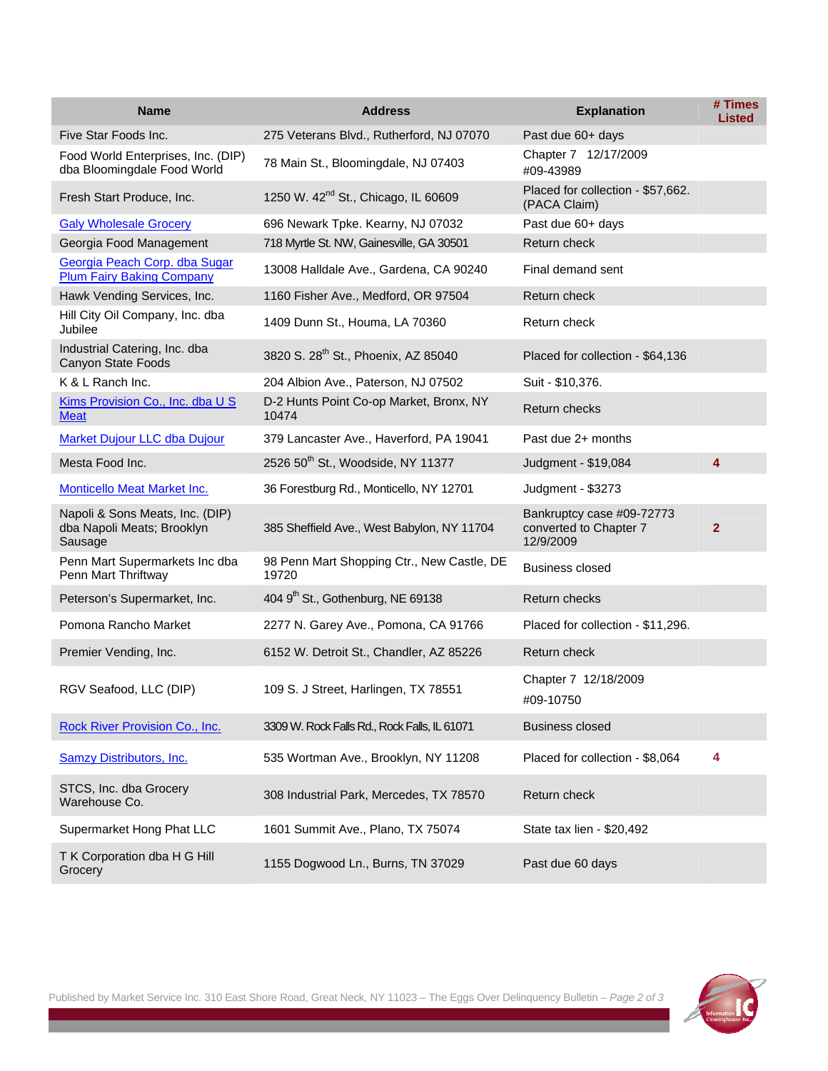| <b>Name</b>                                                              | <b>Address</b>                                      | <b>Explanation</b>                                               | # Times<br><b>Listed</b> |
|--------------------------------------------------------------------------|-----------------------------------------------------|------------------------------------------------------------------|--------------------------|
| Five Star Foods Inc.                                                     | 275 Veterans Blvd., Rutherford, NJ 07070            | Past due 60+ days                                                |                          |
| Food World Enterprises, Inc. (DIP)<br>dba Bloomingdale Food World        | 78 Main St., Bloomingdale, NJ 07403                 | Chapter 7 12/17/2009<br>#09-43989                                |                          |
| Fresh Start Produce, Inc.                                                | 1250 W. 42 <sup>nd</sup> St., Chicago, IL 60609     | Placed for collection - \$57,662.<br>(PACA Claim)                |                          |
| <b>Galy Wholesale Grocery</b>                                            | 696 Newark Tpke. Kearny, NJ 07032                   | Past due 60+ days                                                |                          |
| Georgia Food Management                                                  | 718 Myrtle St. NW, Gainesville, GA 30501            | Return check                                                     |                          |
| Georgia Peach Corp. dba Sugar<br><b>Plum Fairy Baking Company</b>        | 13008 Halldale Ave., Gardena, CA 90240              | Final demand sent                                                |                          |
| Hawk Vending Services, Inc.                                              | 1160 Fisher Ave., Medford, OR 97504                 | Return check                                                     |                          |
| Hill City Oil Company, Inc. dba<br>Jubilee                               | 1409 Dunn St., Houma, LA 70360                      | Return check                                                     |                          |
| Industrial Catering, Inc. dba<br>Canyon State Foods                      | 3820 S. 28 <sup>th</sup> St., Phoenix, AZ 85040     | Placed for collection - \$64,136                                 |                          |
| K & L Ranch Inc.                                                         | 204 Albion Ave., Paterson, NJ 07502                 | Suit - \$10,376.                                                 |                          |
| Kims Provision Co., Inc. dba U S<br><b>Meat</b>                          | D-2 Hunts Point Co-op Market, Bronx, NY<br>10474    | <b>Return checks</b>                                             |                          |
| Market Dujour LLC dba Dujour                                             | 379 Lancaster Ave., Haverford, PA 19041             | Past due 2+ months                                               |                          |
| Mesta Food Inc.                                                          | 2526 50 <sup>th</sup> St., Woodside, NY 11377       | Judgment - \$19,084                                              | 4                        |
| <b>Monticello Meat Market Inc.</b>                                       | 36 Forestburg Rd., Monticello, NY 12701             | Judgment - \$3273                                                |                          |
| Napoli & Sons Meats, Inc. (DIP)<br>dba Napoli Meats; Brooklyn<br>Sausage | 385 Sheffield Ave., West Babylon, NY 11704          | Bankruptcy case #09-72773<br>converted to Chapter 7<br>12/9/2009 | $\overline{2}$           |
| Penn Mart Supermarkets Inc dba<br>Penn Mart Thriftway                    | 98 Penn Mart Shopping Ctr., New Castle, DE<br>19720 | Business closed                                                  |                          |
| Peterson's Supermarket, Inc.                                             | 404 9 <sup>th</sup> St., Gothenburg, NE 69138       | Return checks                                                    |                          |
| Pomona Rancho Market                                                     | 2277 N. Garey Ave., Pomona, CA 91766                | Placed for collection - \$11,296.                                |                          |
| Premier Vending, Inc.                                                    | 6152 W. Detroit St., Chandler, AZ 85226             | Return check                                                     |                          |
| RGV Seafood, LLC (DIP)                                                   | 109 S. J Street, Harlingen, TX 78551                | Chapter 7 12/18/2009<br>#09-10750                                |                          |
| <b>Rock River Provision Co., Inc.</b>                                    | 3309 W. Rock Falls Rd., Rock Falls, IL 61071        | <b>Business closed</b>                                           |                          |
| Samzy Distributors, Inc.                                                 | 535 Wortman Ave., Brooklyn, NY 11208                | Placed for collection - \$8,064                                  | 4                        |
| STCS, Inc. dba Grocery<br>Warehouse Co.                                  | 308 Industrial Park, Mercedes, TX 78570             | Return check                                                     |                          |
| Supermarket Hong Phat LLC                                                | 1601 Summit Ave., Plano, TX 75074                   | State tax lien - \$20,492                                        |                          |
| T K Corporation dba H G Hill<br>Grocery                                  | 1155 Dogwood Ln., Burns, TN 37029                   | Past due 60 days                                                 |                          |